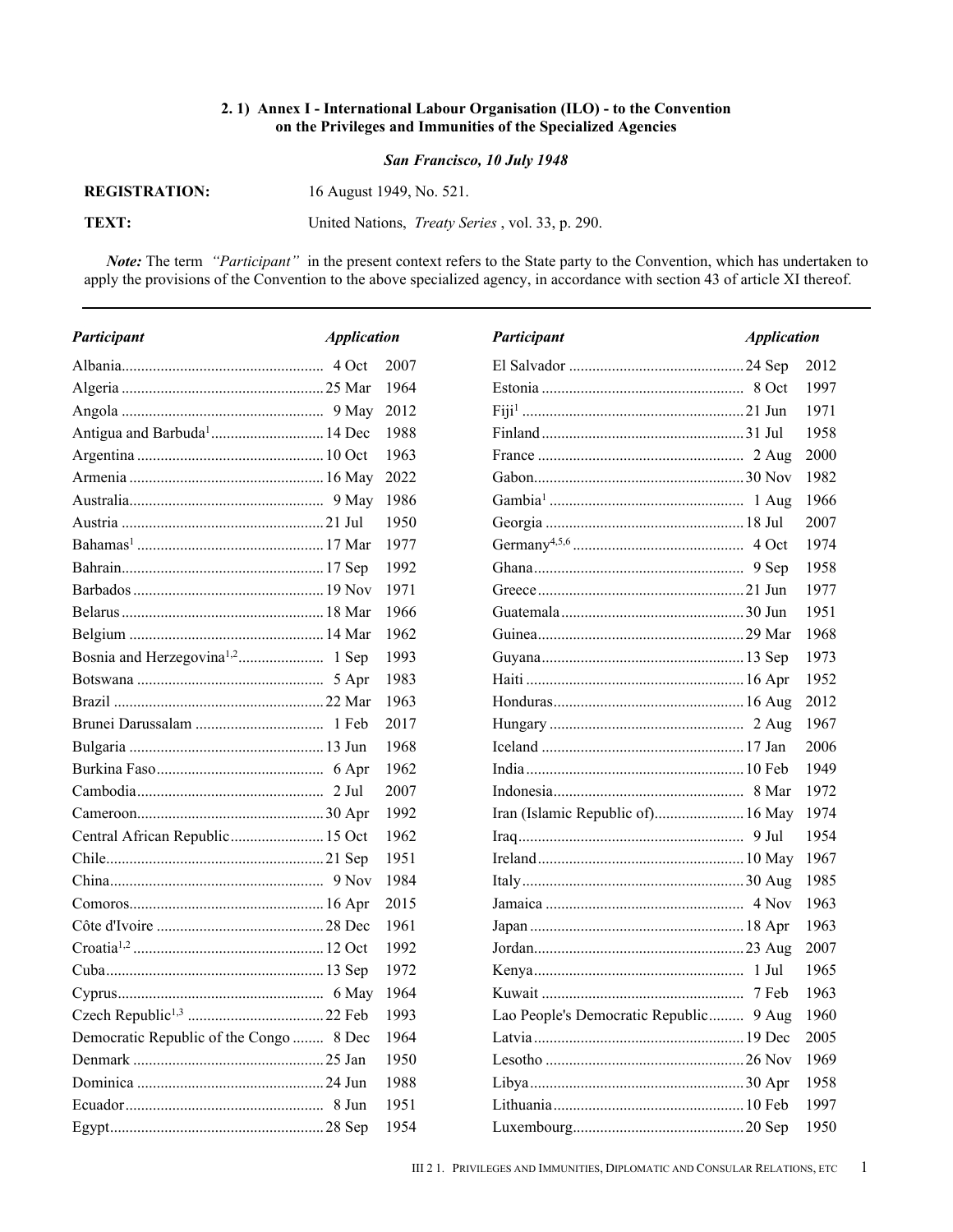## **2. 1) Annex I - International Labour Organisation (ILO) - to the Convention on the Privileges and Immunities of the Specialized Agencies**

*San Francisco, 10 July 1948*

| <b>REGISTRATION:</b> | 16 August 1949, No. 521.                                |
|----------------------|---------------------------------------------------------|
| TEXT:                | United Nations, <i>Treaty Series</i> , vol. 33, p. 290. |

*Note:* The term *"Participant"* in the present context refers to the State party to the Convention, which has undertaken to apply the provisions of the Convention to the above specialized agency, in accordance with section 43 of article XI thereof.

| <b>Application</b><br>Participant       |       | Participant                                 | <b>Application</b> |      |
|-----------------------------------------|-------|---------------------------------------------|--------------------|------|
|                                         | 2007  |                                             |                    | 2012 |
|                                         | -1964 |                                             |                    | 1997 |
|                                         |       |                                             |                    | 1971 |
| Antigua and Barbuda <sup>1</sup> 14 Dec | 1988  |                                             |                    | 1958 |
|                                         | 1963  |                                             |                    | 2000 |
|                                         |       |                                             |                    | 1982 |
|                                         | 1986  |                                             |                    | 1966 |
|                                         | 1950  |                                             |                    | 2007 |
|                                         | 1977  |                                             |                    | 1974 |
|                                         | 1992  |                                             |                    | 1958 |
|                                         | 1971  |                                             |                    | 1977 |
|                                         | -1966 |                                             |                    | 1951 |
|                                         | 1962  |                                             |                    | 1968 |
|                                         | 1993  |                                             |                    | 1973 |
|                                         | 1983  |                                             |                    | 1952 |
|                                         | 1963  |                                             |                    | 2012 |
|                                         | 2017  |                                             |                    | 1967 |
|                                         | 1968  |                                             |                    | 2006 |
|                                         | 1962  |                                             |                    | 1949 |
|                                         | 2007  |                                             |                    | 1972 |
|                                         | 1992  | Iran (Islamic Republic of) 16 May           |                    | 1974 |
| Central African Republic 15 Oct         | 1962  |                                             |                    | 1954 |
|                                         | 1951  |                                             |                    | 1967 |
|                                         | 1984  |                                             |                    | 1985 |
|                                         | 2015  |                                             |                    | 1963 |
|                                         | 1961  |                                             |                    | 1963 |
|                                         | 1992  |                                             |                    | 2007 |
|                                         | 1972  |                                             |                    | 1965 |
|                                         |       |                                             |                    | 1963 |
|                                         | 1993  | Lao People's Democratic Republic 9 Aug 1960 |                    |      |
| Democratic Republic of the Congo  8 Dec | 1964  |                                             |                    | 2005 |
|                                         | 1950  |                                             |                    | 1969 |
|                                         | 1988  |                                             |                    | 1958 |
|                                         | 1951  |                                             |                    | 1997 |
|                                         | 1954  |                                             |                    | 1950 |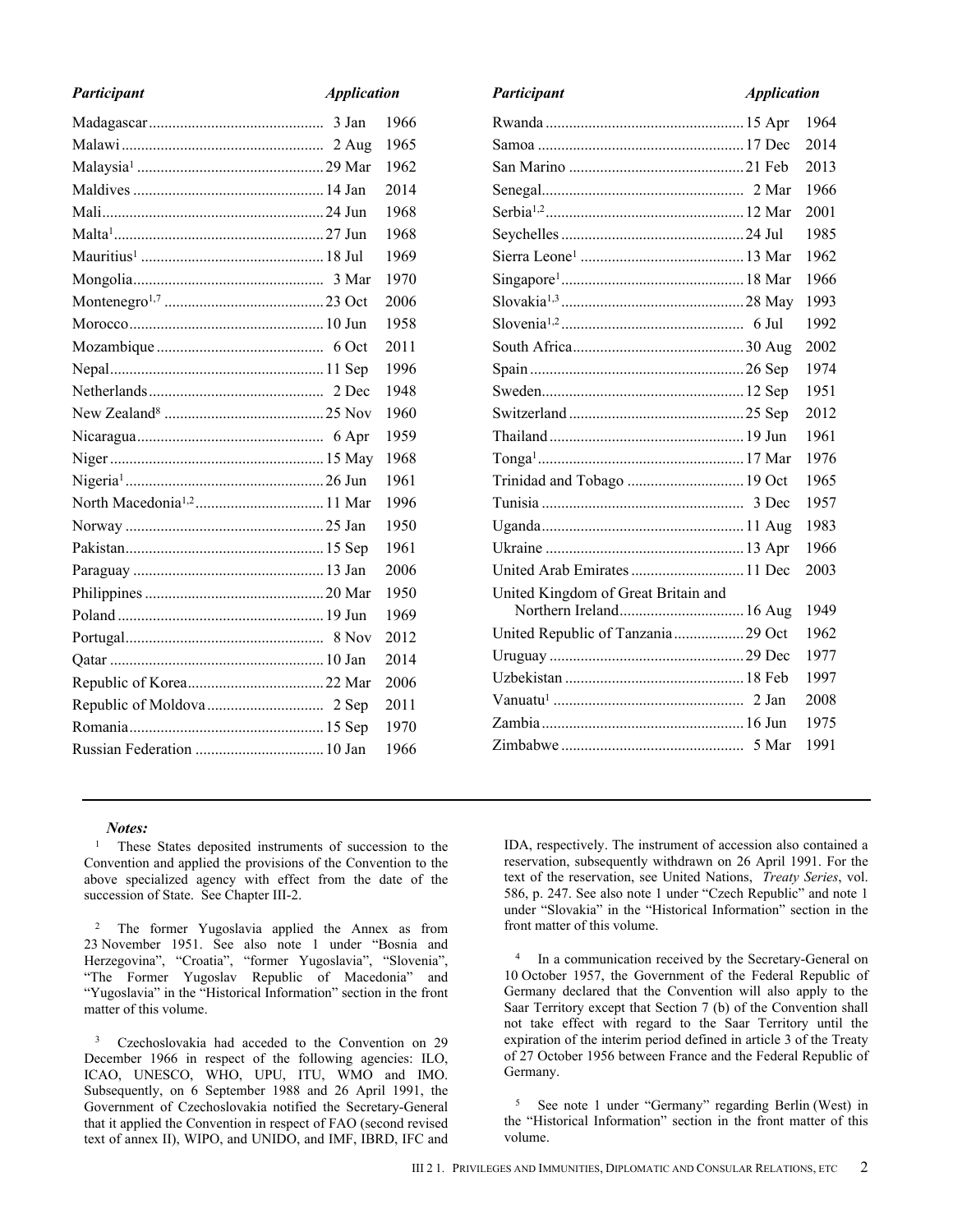| Participant | <b>Application</b> |      |
|-------------|--------------------|------|
|             | 3 Jan              | 1966 |
|             | $2$ Aug            | 1965 |
|             |                    | 1962 |
|             |                    | 2014 |
|             |                    | 1968 |
|             |                    | 1968 |
|             |                    | 1969 |
|             |                    | 1970 |
|             |                    | 2006 |
|             |                    | 1958 |
|             |                    | 2011 |
|             |                    | 1996 |
|             |                    | 1948 |
|             |                    | 1960 |
|             |                    | 1959 |
|             |                    | 1968 |
|             |                    | 1961 |
|             |                    | 1996 |
|             |                    | 1950 |
|             |                    | 1961 |
|             |                    | 2006 |
|             |                    | 1950 |
|             |                    | 1969 |
|             | 8 Nov              | 2012 |
|             |                    | 2014 |
|             |                    | 2006 |
|             |                    | 2011 |
|             |                    | 1970 |
|             |                    | 1966 |

## *Participant Application* Rwanda ........................................................ 15 Apr 1964 Samoa .......................................................... 17 Dec 2014 San Marino .................................................. 21 Feb 2013 Senegal......................................................... 2 Mar 1966 Serbia1,2 ........................................................ 12 Mar 2001 Seychelles .................................................... 24 Jul 1985 Sierra Leone<sup>1</sup> ............................................... 13 Mar 1962 Singapore<sup>1</sup> .................................................... 18 Mar 1966 Slovakia1,3 .................................................... 28 May 1993 Slovenia1,2 .................................................... 6 Jul 1992 South Africa................................................. 30 Aug 2002 Spain ............................................................ 26 Sep 1974 Sweden......................................................... 12 Sep 1951 Switzerland .................................................. 25 Sep 2012 Thailand....................................................... 19 Jun 1961 Tonga<sup>1</sup> .......................................................... 17 Mar 1976 Trinidad and Tobago ................................... 19 Oct 1965 Tunisia ......................................................... 3 Dec 1957 Uganda......................................................... 11 Aug 1983 Ukraine ........................................................ 13 Apr 1966 United Arab Emirates .................................. 11 Dec 2003 United Kingdom of Great Britain and Northern Ireland..................................... 16 Aug 1949 United Republic of Tanzania....................... 29 Oct 1962 Uruguay ....................................................... 29 Dec 1977 Uzbekistan ................................................... 18 Feb 1997 Vanuatu<sup>1</sup> ...................................................... 2 Jan 2008 Zambia......................................................... 16 Jun 1975 Zimbabwe .................................................... 5 Mar 1991

## *Notes:*

<sup>1</sup> These States deposited instruments of succession to the Convention and applied the provisions of the Convention to the above specialized agency with effect from the date of the succession of State. See Chapter III-2.

<sup>2</sup> The former Yugoslavia applied the Annex as from 23 November 1951. See also note 1 under "Bosnia and Herzegovina", "Croatia", "former Yugoslavia", "Slovenia", "The Former Yugoslav Republic of Macedonia" and "Yugoslavia" in the "Historical Information" section in the front matter of this volume.

<sup>3</sup> Czechoslovakia had acceded to the Convention on 29 December 1966 in respect of the following agencies: ILO, ICAO, UNESCO, WHO, UPU, ITU, WMO and IMO. Subsequently, on 6 September 1988 and 26 April 1991, the Government of Czechoslovakia notified the Secretary-General that it applied the Convention in respect of FAO (second revised text of annex II), WIPO, and UNIDO, and IMF, IBRD, IFC and IDA, respectively. The instrument of accession also contained a reservation, subsequently withdrawn on 26 April 1991. For the text of the reservation, see United Nations, *Treaty Series*, vol. 586, p. 247. See also note 1 under "Czech Republic" and note 1 under "Slovakia" in the "Historical Information" section in the front matter of this volume.

4 In a communication received by the Secretary-General on 10 October 1957, the Government of the Federal Republic of Germany declared that the Convention will also apply to the Saar Territory except that Section 7 (b) of the Convention shall not take effect with regard to the Saar Territory until the expiration of the interim period defined in article 3 of the Treaty of 27 October 1956 between France and the Federal Republic of Germany.

<sup>5</sup> See note 1 under "Germany" regarding Berlin (West) in the "Historical Information" section in the front matter of this volume.